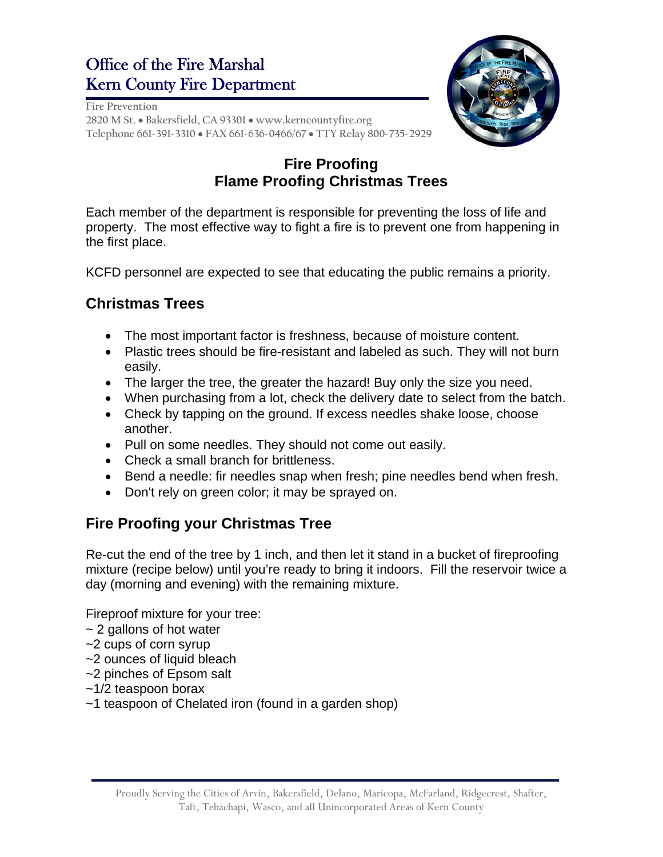# Office of the Fire Marshal Kern County Fire Department



**Fire Prevention 2820 M St. Bakersfield, CA 93301 www.kerncountyfire.org Telephone 661-391-3310 FAX 661-636-0466/67 TTY Relay 800-735-2929** 

## **Fire Proofing Flame Proofing Christmas Trees**

Each member of the department is responsible for preventing the loss of life and property. The most effective way to fight a fire is to prevent one from happening in the first place.

KCFD personnel are expected to see that educating the public remains a priority.

### **Christmas Trees**

- The most important factor is freshness, because of moisture content.
- Plastic trees should be fire-resistant and labeled as such. They will not burn easily.
- The larger the tree, the greater the hazard! Buy only the size you need.
- When purchasing from a lot, check the delivery date to select from the batch.
- Check by tapping on the ground. If excess needles shake loose, choose another.
- Pull on some needles. They should not come out easily.
- Check a small branch for brittleness.
- Bend a needle: fir needles snap when fresh; pine needles bend when fresh.
- Don't rely on green color; it may be sprayed on.

#### **Fire Proofing your Christmas Tree**

Re-cut the end of the tree by 1 inch, and then let it stand in a bucket of fireproofing mixture (recipe below) until you're ready to bring it indoors. Fill the reservoir twice a day (morning and evening) with the remaining mixture.

Fireproof mixture for your tree:

- ~ 2 gallons of hot water
- ~2 cups of corn syrup
- ~2 ounces of liquid bleach
- ~2 pinches of Epsom salt
- ~1/2 teaspoon borax
- ~1 teaspoon of Chelated iron (found in a garden shop)